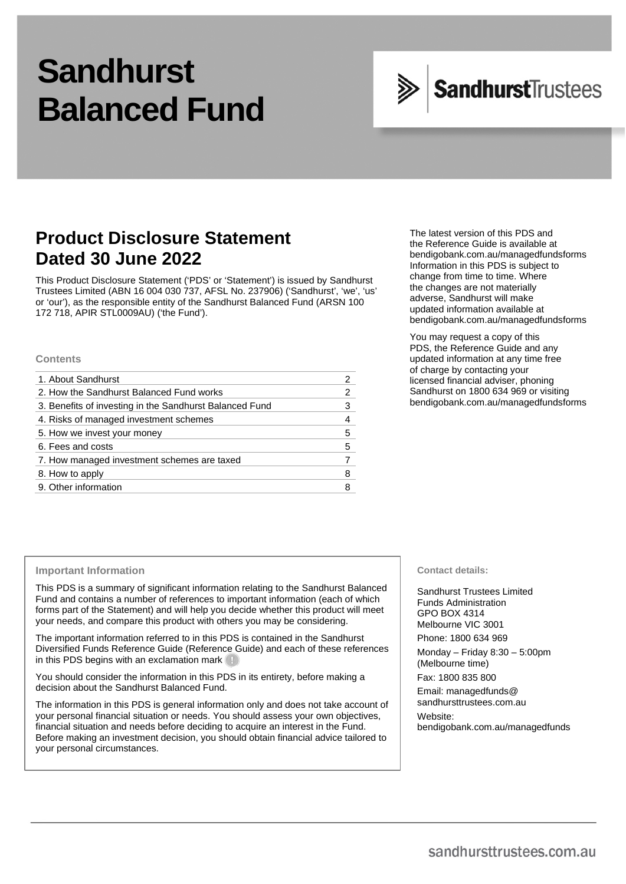# **Sandhurst Balanced Fund**

## SandhurstTrustees

## **Product Disclosure Statement Dated 30 June 2022**

This Product Disclosure Statement ('PDS' or 'Statement') is issued by Sandhurst Trustees Limited (ABN 16 004 030 737, AFSL No. 237906) ('Sandhurst', 'we', 'us' or 'our'), as the responsible entity of the Sandhurst Balanced Fund (ARSN 100 172 718, APIR STL0009AU) ('the Fund').

#### **Contents**

| 1. About Sandhurst                                      |   |
|---------------------------------------------------------|---|
| 2. How the Sandhurst Balanced Fund works                | 2 |
| 3. Benefits of investing in the Sandhurst Balanced Fund | 3 |
| 4. Risks of managed investment schemes                  |   |
| 5. How we invest your money                             | 5 |
| 6. Fees and costs                                       | 5 |
| 7. How managed investment schemes are taxed             |   |
| 8. How to apply                                         | 8 |
| 9. Other information                                    |   |
|                                                         |   |

The latest version of this PDS and the Reference Guide is available at [bendigobank.com.au/managedfundsforms](https://bendigobank.com.au/managedfundsforms) Information in this PDS is subject to change from time to time. Where the changes are not materially adverse, Sandhurst will make updated information available at [bendigobank.com.au/managedfundsforms](https://bendigobank.com.au/managedfundsforms)

You may request a copy of this PDS, the Reference Guide and any updated information at any time free of charge by contacting your licensed financial adviser, phoning Sandhurst on 1800 634 969 or visiting [bendigobank.com.au/managedfundsforms](https://bendigobank.com.au/managedfundsforms)

## **Important Information**

This PDS is a summary of significant information relating to the Sandhurst Balanced Fund and contains a number of references to important information (each of which forms part of the Statement) and will help you decide whether this product will meet your needs, and compare this product with others you may be considering.

The important information referred to in this PDS is contained in the Sandhurst Diversified Funds Reference Guide (Reference Guide) and each of these references in this PDS begins with an exclamation mark

You should consider the information in this PDS in its entirety, before making a decision about the Sandhurst Balanced Fund.

The information in this PDS is general information only and does not take account of your personal financial situation or needs. You should assess your own objectives, financial situation and needs before deciding to acquire an interest in the Fund. Before making an investment decision, you should obtain financial advice tailored to your personal circumstances.

#### **Contact details:**

Sandhurst Trustees Limited Funds Administration GPO BOX 4314 Melbourne VIC 3001 Phone: 1800 634 969

Monday – Friday 8:30 – 5:00pm (Melbourne time)

Fax: 1800 835 800

Email[: managedfunds@](mailto:managedfunds@sandhursttrustees.com.au)  [sandhursttrustees.com.au](mailto:managedfunds@sandhursttrustees.com.au) Website: [bendigobank.com.au/managedfunds](https://bendigobank.com.au/managedfunds)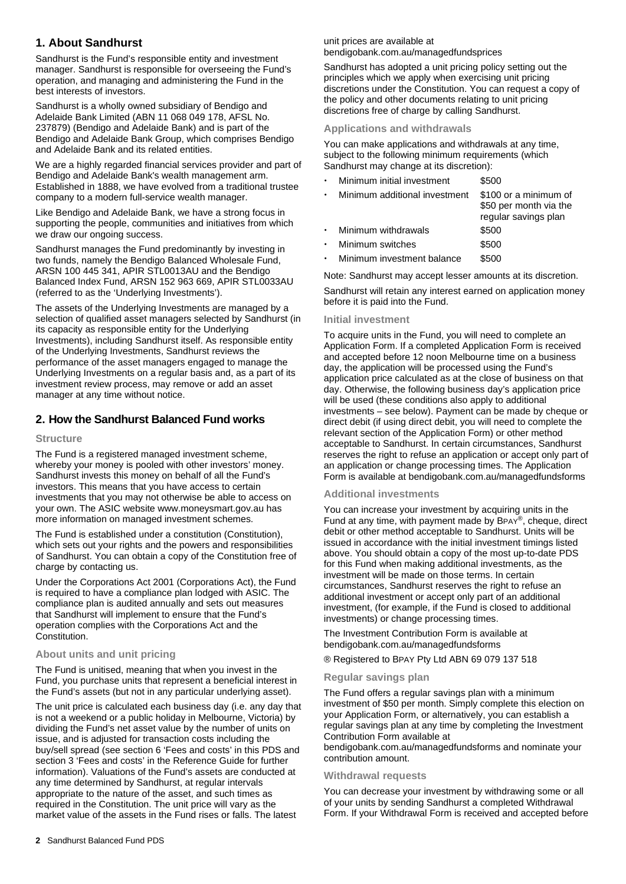## **1. About Sandhurst**

Sandhurst is the Fund's responsible entity and investment manager. Sandhurst is responsible for overseeing the Fund's operation, and managing and administering the Fund in the best interests of investors.

Sandhurst is a wholly owned subsidiary of Bendigo and Adelaide Bank Limited (ABN 11 068 049 178, AFSL No. 237879) (Bendigo and Adelaide Bank) and is part of the Bendigo and Adelaide Bank Group, which comprises Bendigo and Adelaide Bank and its related entities.

We are a highly regarded financial services provider and part of Bendigo and Adelaide Bank's wealth management arm. Established in 1888, we have evolved from a traditional trustee company to a modern full-service wealth manager.

Like Bendigo and Adelaide Bank, we have a strong focus in supporting the people, communities and initiatives from which we draw our ongoing success.

Sandhurst manages the Fund predominantly by investing in two funds, namely the Bendigo Balanced Wholesale Fund, ARSN 100 445 341, APIR STL0013AU and the Bendigo Balanced Index Fund, ARSN 152 963 669, APIR STL0033AU (referred to as the 'Underlying Investments').

The assets of the Underlying Investments are managed by a selection of qualified asset managers selected by Sandhurst (in its capacity as responsible entity for the Underlying Investments), including Sandhurst itself. As responsible entity of the Underlying Investments, Sandhurst reviews the performance of the asset managers engaged to manage the Underlying Investments on a regular basis and, as a part of its investment review process, may remove or add an asset manager at any time without notice.

## **2. How the Sandhurst Balanced Fund works**

## **Structure**

The Fund is a registered managed investment scheme, whereby your money is pooled with other investors' money. Sandhurst invests this money on behalf of all the Fund's investors. This means that you have access to certain investments that you may not otherwise be able to access on your own. The ASIC website [www.moneysmart.gov.au](https://moneysmart.gov.au/) has more information on managed investment schemes.

The Fund is established under a constitution (Constitution), which sets out your rights and the powers and responsibilities of Sandhurst. You can obtain a copy of the Constitution free of charge by contacting us.

Under the Corporations Act 2001 (Corporations Act), the Fund is required to have a compliance plan lodged with ASIC. The compliance plan is audited annually and sets out measures that Sandhurst will implement to ensure that the Fund's operation complies with the Corporations Act and the Constitution.

## **About units and unit pricing**

The Fund is unitised, meaning that when you invest in the Fund, you purchase units that represent a beneficial interest in the Fund's assets (but not in any particular underlying asset).

The unit price is calculated each business day (i.e. any day that is not a weekend or a public holiday in Melbourne, Victoria) by dividing the Fund's net asset value by the number of units on issue, and is adjusted for transaction costs including the buy/sell spread (see section 6 'Fees and costs' in this PDS and section 3 'Fees and costs' in the Reference Guide for further information). Valuations of the Fund's assets are conducted at any time determined by Sandhurst, at regular intervals appropriate to the nature of the asset, and such times as required in the Constitution. The unit price will vary as the market value of the assets in the Fund rises or falls. The latest

## unit prices are available at

[bendigobank.com.au/managedfundsprices](https://bendigobank.com.au/managedfundsprices) 

Sandhurst has adopted a unit pricing policy setting out the principles which we apply when exercising unit pricing discretions under the Constitution. You can request a copy of the policy and other documents relating to unit pricing discretions free of charge by calling Sandhurst.

#### **Applications and withdrawals**

You can make applications and withdrawals at any time, subject to the following minimum requirements (which Sandhurst may change at its discretion):

| Minimum initial investment<br>$\bullet$ | \$500                                                                   |
|-----------------------------------------|-------------------------------------------------------------------------|
| Minimum additional investment<br>٠      | \$100 or a minimum of<br>\$50 per month via the<br>regular savings plan |
| Minimum withdrawals                     | \$500                                                                   |
| Minimum switches<br>$\bullet$           | \$500                                                                   |
| Minimum investment balance<br>٠         | \$500                                                                   |
|                                         |                                                                         |

Note: Sandhurst may accept lesser amounts at its discretion.

Sandhurst will retain any interest earned on application money before it is paid into the Fund.

## **Initial investment**

To acquire units in the Fund, you will need to complete an Application Form. If a completed Application Form is received and accepted before 12 noon Melbourne time on a business day, the application will be processed using the Fund's application price calculated as at the close of business on that day. Otherwise, the following business day's application price will be used (these conditions also apply to additional investments – see below). Payment can be made by cheque or direct debit (if using direct debit, you will need to complete the relevant section of the Application Form) or other method acceptable to Sandhurst. In certain circumstances, Sandhurst reserves the right to refuse an application or accept only part of an application or change processing times. The Application Form is available a[t bendigobank.com.au/managedfundsfo](https://bendigobank.com.au/managedfundsforms)rms

#### **Additional investments**

You can increase your investment by acquiring units in the Fund at any time, with payment made by BPAY®, cheque, direct debit or other method acceptable to Sandhurst. Units will be issued in accordance with the initial investment timings listed above. You should obtain a copy of the most up-to-date PDS for this Fund when making additional investments, as the investment will be made on those terms. In certain circumstances, Sandhurst reserves the right to refuse an additional investment or accept only part of an additional investment, (for example, if the Fund is closed to additional investments) or change processing times.

The Investment Contribution Form is available at [bendigobank.com.au/managedfundsf](https://bendigobank.com.au/managedfundsforms)orms

® Registered to BPAY Pty Ltd ABN 69 079 137 518

#### **Regular savings plan**

The Fund offers a regular savings plan with a minimum investment of \$50 per month. Simply complete this election on your Application Form, or alternatively, you can establish a regular savings plan at any time by completing the Investment Contribution Form available at

[bendigobank.com.au/managedfundsf](https://bendigobank.com.au/managedfundsforms)orms and nominate your contribution amount.

## **Withdrawal requests**

You can decrease your investment by withdrawing some or all of your units by sending Sandhurst a completed Withdrawal Form. If your Withdrawal Form is received and accepted before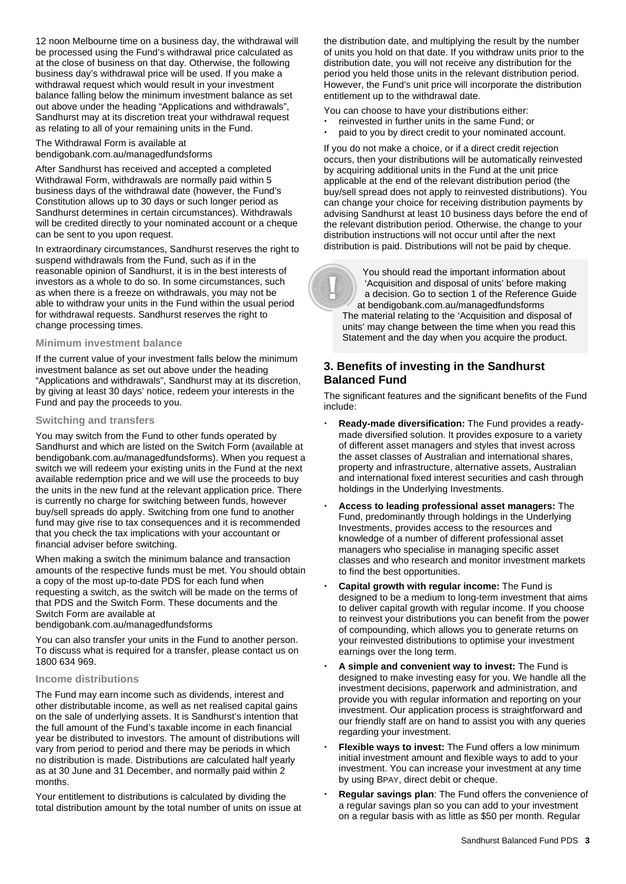12 noon Melbourne time on a business day, the withdrawal will be processed using the Fund's withdrawal price calculated as at the close of business on that day. Otherwise, the following business day's withdrawal price will be used. If you make a withdrawal request which would result in your investment balance falling below the minimum investment balance as set out above under the heading "Applications and withdrawals", Sandhurst may at its discretion treat your withdrawal request as relating to all of your remaining units in the Fund.

The Withdrawal Form is available at [bendigobank.com.au/managedfundsf](https://bendigobank.com.au/managedfundsforms)orms

After Sandhurst has received and accepted a completed Withdrawal Form, withdrawals are normally paid within 5 business days of the withdrawal date (however, the Fund's Constitution allows up to 30 days or such longer period as Sandhurst determines in certain circumstances). Withdrawals will be credited directly to your nominated account or a cheque can be sent to you upon request.

In extraordinary circumstances, Sandhurst reserves the right to suspend withdrawals from the Fund, such as if in the reasonable opinion of Sandhurst, it is in the best interests of investors as a whole to do so. In some circumstances, such as when there is a freeze on withdrawals, you may not be able to withdraw your units in the Fund within the usual period for withdrawal requests. Sandhurst reserves the right to change processing times.

## **Minimum investment balance**

If the current value of your investment falls below the minimum investment balance as set out above under the heading "Applications and withdrawals", Sandhurst may at its discretion, by giving at least 30 days' notice, redeem your interests in the Fund and pay the proceeds to you.

#### **Switching and transfers**

You may switch from the Fund to other funds operated by Sandhurst and which are listed on the Switch Form (available at [bendigobank.com.au/managedfundsf](https://bendigobank.com.au/managedfundsforms)orms). When you request a switch we will redeem your existing units in the Fund at the next available redemption price and we will use the proceeds to buy the units in the new fund at the relevant application price. There is currently no charge for switching between funds, however buy/sell spreads do apply. Switching from one fund to another fund may give rise to tax consequences and it is recommended that you check the tax implications with your accountant or financial adviser before switching.

When making a switch the minimum balance and transaction amounts of the respective funds must be met. You should obtain a copy of the most up-to-date PDS for each fund when requesting a switch, as the switch will be made on the terms of that PDS and the Switch Form. These documents and the Switch Form are available at

[bendigobank.com.au/managedfundsf](https://bendigobank.com.au/managedfundsforms)orms

You can also transfer your units in the Fund to another person. To discuss what is required for a transfer, please contact us on 1800 634 969.

#### **Income distributions**

The Fund may earn income such as dividends, interest and other distributable income, as well as net realised capital gains on the sale of underlying assets. It is Sandhurst's intention that the full amount of the Fund's taxable income in each financial year be distributed to investors. The amount of distributions will vary from period to period and there may be periods in which no distribution is made. Distributions are calculated half yearly as at 30 June and 31 December, and normally paid within 2 months.

Your entitlement to distributions is calculated by dividing the total distribution amount by the total number of units on issue at the distribution date, and multiplying the result by the number of units you hold on that date. If you withdraw units prior to the distribution date, you will not receive any distribution for the period you held those units in the relevant distribution period. However, the Fund's unit price will incorporate the distribution entitlement up to the withdrawal date.

You can choose to have your distributions either: reinvested in further units in the same Fund; or

paid to you by direct credit to your nominated account.

If you do not make a choice, or if a direct credit rejection occurs, then your distributions will be automatically reinvested by acquiring additional units in the Fund at the unit price applicable at the end of the relevant distribution period (the buy/sell spread does not apply to reinvested distributions). You can change your choice for receiving distribution payments by advising Sandhurst at least 10 business days before the end of the relevant distribution period. Otherwise, the change to your distribution instructions will not occur until after the next distribution is paid. Distributions will not be paid by cheque.

 You should read the important information about 'Acquisition and disposal of units' before making a decision. Go to section 1 of the Reference Guide at [bendigobank.com.au/managedfundsf](https://bendigobank.com.au/managedfundsforms)orms The material relating to the 'Acquisition and disposal of units' may change between the time when you read this Statement and the day when you acquire the product.

## **3. Benefits of investing in the Sandhurst Balanced Fund**

The significant features and the significant benefits of the Fund include:

- **Ready-made diversification:** The Fund provides a readymade diversified solution. It provides exposure to a variety of different asset managers and styles that invest across the asset classes of Australian and international shares, property and infrastructure, alternative assets, Australian and international fixed interest securities and cash through holdings in the Underlying Investments.
- **Access to leading professional asset managers:** The Fund, predominantly through holdings in the Underlying Investments, provides access to the resources and knowledge of a number of different professional asset managers who specialise in managing specific asset classes and who research and monitor investment markets to find the best opportunities.
- **Capital growth with regular income:** The Fund is designed to be a medium to long-term investment that aims to deliver capital growth with regular income. If you choose to reinvest your distributions you can benefit from the power of compounding, which allows you to generate returns on your reinvested distributions to optimise your investment earnings over the long term.
- **A simple and convenient way to invest:** The Fund is designed to make investing easy for you. We handle all the investment decisions, paperwork and administration, and provide you with regular information and reporting on your investment. Our application process is straightforward and our friendly staff are on hand to assist you with any queries regarding your investment.
- **Flexible ways to invest:** The Fund offers a low minimum initial investment amount and flexible ways to add to your investment. You can increase your investment at any time by using BPAY, direct debit or cheque.
- **Regular savings plan**: The Fund offers the convenience of a regular savings plan so you can add to your investment on a regular basis with as little as \$50 per month. Regular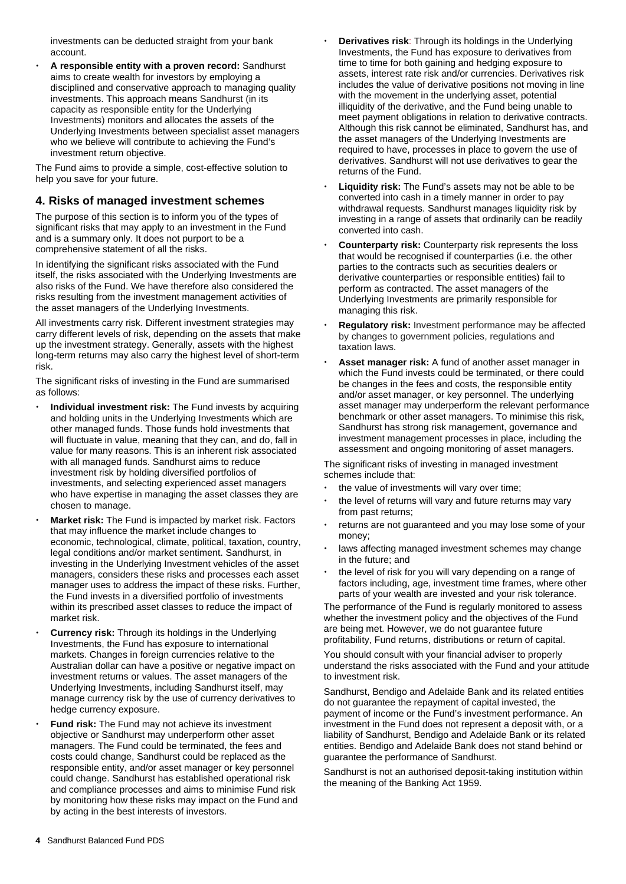investments can be deducted straight from your bank account.

 **A responsible entity with a proven record:** Sandhurst aims to create wealth for investors by employing a disciplined and conservative approach to managing quality investments. This approach means Sandhurst (in its capacity as responsible entity for the Underlying Investments) monitors and allocates the assets of the Underlying Investments between specialist asset managers who we believe will contribute to achieving the Fund's investment return objective.

The Fund aims to provide a simple, cost-effective solution to help you save for your future.

## **4. Risks of managed investment schemes**

The purpose of this section is to inform you of the types of significant risks that may apply to an investment in the Fund and is a summary only. It does not purport to be a comprehensive statement of all the risks.

In identifying the significant risks associated with the Fund itself, the risks associated with the Underlying Investments are also risks of the Fund. We have therefore also considered the risks resulting from the investment management activities of the asset managers of the Underlying Investments.

All investments carry risk. Different investment strategies may carry different levels of risk, depending on the assets that make up the investment strategy. Generally, assets with the highest long-term returns may also carry the highest level of short-term risk.

The significant risks of investing in the Fund are summarised as follows:

- **Individual investment risk:** The Fund invests by acquiring and holding units in the Underlying Investments which are other managed funds. Those funds hold investments that will fluctuate in value, meaning that they can, and do, fall in value for many reasons. This is an inherent risk associated with all managed funds. Sandhurst aims to reduce investment risk by holding diversified portfolios of investments, and selecting experienced asset managers who have expertise in managing the asset classes they are chosen to manage.
- **Market risk:** The Fund is impacted by market risk. Factors that may influence the market include changes to economic, technological, climate, political, taxation, country, legal conditions and/or market sentiment. Sandhurst, in investing in the Underlying Investment vehicles of the asset managers, considers these risks and processes each asset manager uses to address the impact of these risks. Further, the Fund invests in a diversified portfolio of investments within its prescribed asset classes to reduce the impact of market risk.
- **Currency risk:** Through its holdings in the Underlying Investments, the Fund has exposure to international markets. Changes in foreign currencies relative to the Australian dollar can have a positive or negative impact on investment returns or values. The asset managers of the Underlying Investments, including Sandhurst itself, may manage currency risk by the use of currency derivatives to hedge currency exposure.
- **Fund risk:** The Fund may not achieve its investment objective or Sandhurst may underperform other asset managers. The Fund could be terminated, the fees and costs could change, Sandhurst could be replaced as the responsible entity, and/or asset manager or key personnel could change. Sandhurst has established operational risk and compliance processes and aims to minimise Fund risk by monitoring how these risks may impact on the Fund and by acting in the best interests of investors.
- **Derivatives risk**: Through its holdings in the Underlying Investments, the Fund has exposure to derivatives from time to time for both gaining and hedging exposure to assets, interest rate risk and/or currencies. Derivatives risk includes the value of derivative positions not moving in line with the movement in the underlying asset, potential illiquidity of the derivative, and the Fund being unable to meet payment obligations in relation to derivative contracts. Although this risk cannot be eliminated, Sandhurst has, and the asset managers of the Underlying Investments are required to have, processes in place to govern the use of derivatives. Sandhurst will not use derivatives to gear the returns of the Fund.
- **Liquidity risk:** The Fund's assets may not be able to be converted into cash in a timely manner in order to pay withdrawal requests. Sandhurst manages liquidity risk by investing in a range of assets that ordinarily can be readily converted into cash.
- **Counterparty risk:** Counterparty risk represents the loss that would be recognised if counterparties (i.e. the other parties to the contracts such as securities dealers or derivative counterparties or responsible entities) fail to perform as contracted. The asset managers of the Underlying Investments are primarily responsible for managing this risk.
- **Regulatory risk:** Investment performance may be affected by changes to government policies, regulations and taxation laws.
- **Asset manager risk:** A fund of another asset manager in which the Fund invests could be terminated, or there could be changes in the fees and costs, the responsible entity and/or asset manager, or key personnel. The underlying asset manager may underperform the relevant performance benchmark or other asset managers. To minimise this risk, Sandhurst has strong risk management, governance and investment management processes in place, including the assessment and ongoing monitoring of asset managers.

The significant risks of investing in managed investment schemes include that:

- the value of investments will vary over time;
- the level of returns will vary and future returns may vary from past returns;
- returns are not guaranteed and you may lose some of your money;
- laws affecting managed investment schemes may change in the future; and
- the level of risk for you will vary depending on a range of factors including, age, investment time frames, where other parts of your wealth are invested and your risk tolerance.

The performance of the Fund is regularly monitored to assess whether the investment policy and the objectives of the Fund are being met. However, we do not guarantee future profitability, Fund returns, distributions or return of capital.

You should consult with your financial adviser to properly understand the risks associated with the Fund and your attitude to investment risk.

Sandhurst, Bendigo and Adelaide Bank and its related entities do not guarantee the repayment of capital invested, the payment of income or the Fund's investment performance. An investment in the Fund does not represent a deposit with, or a liability of Sandhurst, Bendigo and Adelaide Bank or its related entities. Bendigo and Adelaide Bank does not stand behind or guarantee the performance of Sandhurst.

Sandhurst is not an authorised deposit-taking institution within the meaning of the Banking Act 1959.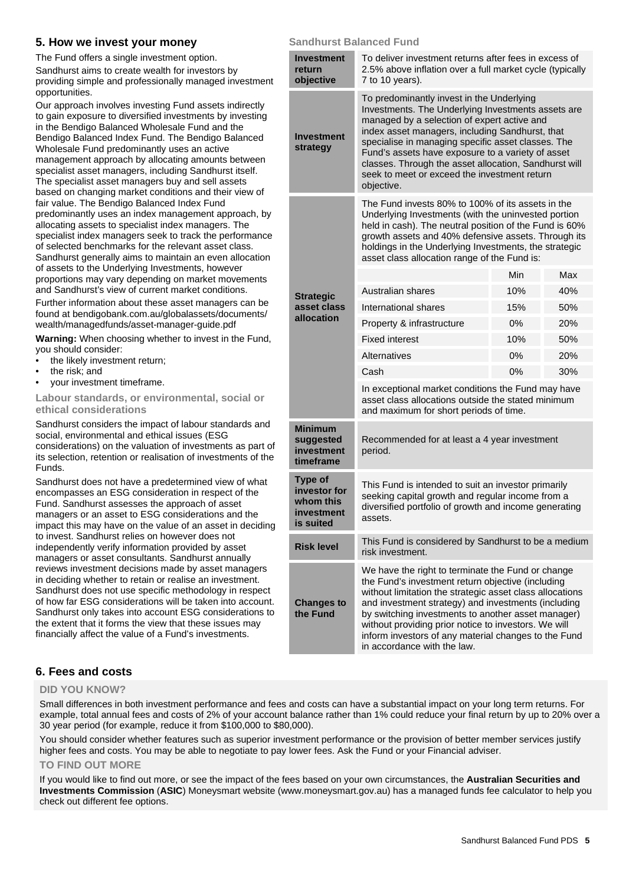## **5. How we invest your money**

The Fund offers a single investment option. Sandhurst aims to create wealth for investors by providing simple and professionally managed investment opportunities.

Our approach involves investing Fund assets indirectly to gain exposure to diversified investments by investing in the Bendigo Balanced Wholesale Fund and the Bendigo Balanced Index Fund. The Bendigo Balanced Wholesale Fund predominantly uses an active management approach by allocating amounts between specialist asset managers, including Sandhurst itself. The specialist asset managers buy and sell assets based on changing market conditions and their view of fair value. The Bendigo Balanced Index Fund predominantly uses an index management approach, by allocating assets to specialist index managers. The specialist index managers seek to track the performance of selected benchmarks for the relevant asset class. Sandhurst generally aims to maintain an even allocation of assets to the Underlying Investments, however proportions may vary depending on market movements and Sandhurst's view of current market conditions.

Further information about these asset managers can be found at [bendigobank.com.au/globalassets/documents/](https://www.bendigobank.com.au/globalassets/documents/wealth/managedfunds/asset-manager-guide.pdf)  [wealth/managedfunds/asset-manager-guide.pdf](https://www.bendigobank.com.au/globalassets/documents/wealth/managedfunds/asset-manager-guide.pdf)

**Warning:** When choosing whether to invest in the Fund, you should consider:

- the likely investment return;
- the risk; and
- your investment timeframe.

**Labour standards, or environmental, social or ethical considerations** 

Sandhurst considers the impact of labour standards and social, environmental and ethical issues (ESG considerations) on the valuation of investments as part of its selection, retention or realisation of investments of the Funds.

Sandhurst does not have a predetermined view of what encompasses an ESG consideration in respect of the Fund. Sandhurst assesses the approach of asset managers or an asset to ESG considerations and the impact this may have on the value of an asset in deciding to invest. Sandhurst relies on however does not independently verify information provided by asset managers or asset consultants. Sandhurst annually reviews investment decisions made by asset managers in deciding whether to retain or realise an investment. Sandhurst does not use specific methodology in respect of how far ESG considerations will be taken into account. Sandhurst only takes into account ESG considerations to the extent that it forms the view that these issues may financially affect the value of a Fund's investments.

## **Sandhurst Balanced Fund**

| <b>Investment</b><br>return<br>objective                        | To deliver investment returns after fees in excess of<br>2.5% above inflation over a full market cycle (typically<br>7 to 10 years).                                                                                                                                                                                                                                                                                                |     |     |  |
|-----------------------------------------------------------------|-------------------------------------------------------------------------------------------------------------------------------------------------------------------------------------------------------------------------------------------------------------------------------------------------------------------------------------------------------------------------------------------------------------------------------------|-----|-----|--|
| Investment<br>strategy                                          | To predominantly invest in the Underlying<br>Investments. The Underlying Investments assets are<br>managed by a selection of expert active and<br>index asset managers, including Sandhurst, that<br>specialise in managing specific asset classes. The<br>Fund's assets have exposure to a variety of asset<br>classes. Through the asset allocation, Sandhurst will<br>seek to meet or exceed the investment return<br>objective. |     |     |  |
|                                                                 | The Fund invests 80% to 100% of its assets in the<br>Underlying Investments (with the uninvested portion<br>held in cash). The neutral position of the Fund is 60%<br>growth assets and 40% defensive assets. Through its<br>holdings in the Underlying Investments, the strategic<br>asset class allocation range of the Fund is:                                                                                                  |     |     |  |
|                                                                 |                                                                                                                                                                                                                                                                                                                                                                                                                                     | Min | Max |  |
| <b>Strategic</b>                                                | Australian shares                                                                                                                                                                                                                                                                                                                                                                                                                   | 10% | 40% |  |
| asset class                                                     | International shares                                                                                                                                                                                                                                                                                                                                                                                                                | 15% | 50% |  |
| allocation                                                      | Property & infrastructure                                                                                                                                                                                                                                                                                                                                                                                                           | 0%  | 20% |  |
|                                                                 | <b>Fixed interest</b>                                                                                                                                                                                                                                                                                                                                                                                                               | 10% | 50% |  |
|                                                                 | Alternatives                                                                                                                                                                                                                                                                                                                                                                                                                        | 0%  | 20% |  |
|                                                                 | Cash                                                                                                                                                                                                                                                                                                                                                                                                                                | 0%  | 30% |  |
|                                                                 | In exceptional market conditions the Fund may have<br>asset class allocations outside the stated minimum<br>and maximum for short periods of time.                                                                                                                                                                                                                                                                                  |     |     |  |
| <b>Minimum</b><br>suggested<br>investment<br>timeframe          | Recommended for at least a 4 year investment<br>period.                                                                                                                                                                                                                                                                                                                                                                             |     |     |  |
| Type of<br>investor for<br>whom this<br>investment<br>is suited | This Fund is intended to suit an investor primarily<br>seeking capital growth and regular income from a<br>diversified portfolio of growth and income generating<br>assets.                                                                                                                                                                                                                                                         |     |     |  |
| <b>Risk level</b>                                               | This Fund is considered by Sandhurst to be a medium<br>risk investment.                                                                                                                                                                                                                                                                                                                                                             |     |     |  |
| <b>Changes to</b><br>the Fund                                   | We have the right to terminate the Fund or change<br>the Fund's investment return objective (including<br>without limitation the strategic asset class allocations<br>and investment strategy) and investments (including<br>by switching investments to another asset manager)<br>without providing prior notice to investors. We will<br>inform investors of any material changes to the Fund<br>in accordance with the law.      |     |     |  |

## **6. Fees and costs**

## **DID YOU KNOW?**

Small differences in both investment performance and fees and costs can have a substantial impact on your long term returns. For example, total annual fees and costs of 2% of your account balance rather than 1% could reduce your final return by up to 20% over a 30 year period (for example, reduce it from \$100,000 to \$80,000).

You should consider whether features such as superior investment performance or the provision of better member services justify higher fees and costs. You may be able to negotiate to pay lower fees. Ask the Fund or your Financial adviser.

## **TO FIND OUT MORE**

If you would like to find out more, or see the impact of the fees based on your own circumstances, the **Australian Securities and Investments Commission** (**ASIC**) Moneysmart website [\(www.moneysmart.gov.au\)](http://www.moneysmart.gov.au/) has a managed funds fee calculator to help you check out different fee options.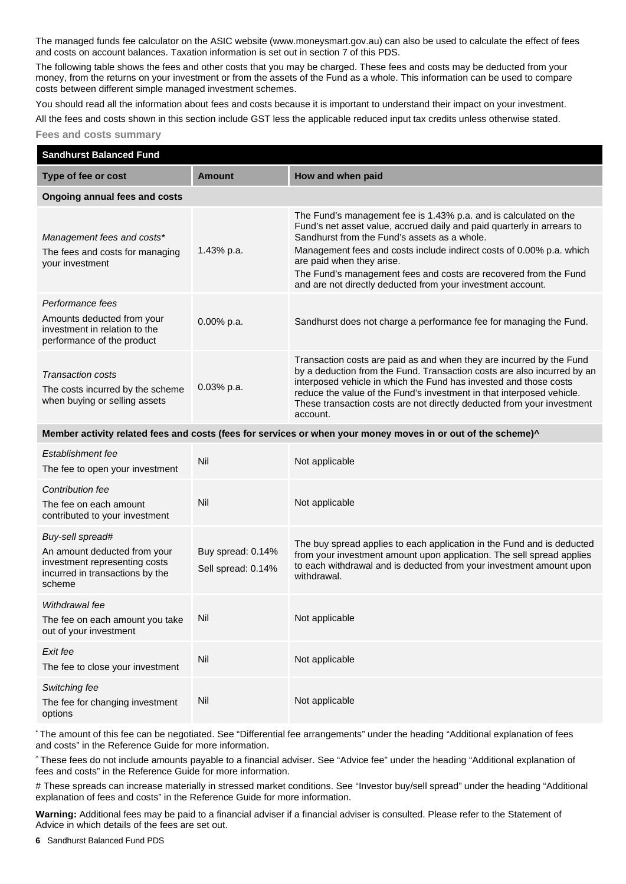The managed funds fee calculator on the ASIC website [\(www.moneysmart.gov.au\)](http://moneysmart.gov.au/) can also be used to calculate the effect of fees and costs on account balances. Taxation information is set out in section 7 of this PDS.

The following table shows the fees and other costs that you may be charged. These fees and costs may be deducted from your money, from the returns on your investment or from the assets of the Fund as a whole. This information can be used to compare costs between different simple managed investment schemes.

You should read all the information about fees and costs because it is important to understand their impact on your investment.

All the fees and costs shown in this section include GST less the applicable reduced input tax credits unless otherwise stated.

```
Fees and costs summary
```

| <b>Sandhurst Balanced Fund</b>                                                                                                 |                                         |                                                                                                                                                                                                                                                                                                                                                                                                                                    |
|--------------------------------------------------------------------------------------------------------------------------------|-----------------------------------------|------------------------------------------------------------------------------------------------------------------------------------------------------------------------------------------------------------------------------------------------------------------------------------------------------------------------------------------------------------------------------------------------------------------------------------|
| Type of fee or cost                                                                                                            | <b>Amount</b>                           | How and when paid                                                                                                                                                                                                                                                                                                                                                                                                                  |
| <b>Ongoing annual fees and costs</b>                                                                                           |                                         |                                                                                                                                                                                                                                                                                                                                                                                                                                    |
| Management fees and costs*<br>The fees and costs for managing<br>your investment                                               | 1.43% p.a.                              | The Fund's management fee is 1.43% p.a. and is calculated on the<br>Fund's net asset value, accrued daily and paid quarterly in arrears to<br>Sandhurst from the Fund's assets as a whole.<br>Management fees and costs include indirect costs of 0.00% p.a. which<br>are paid when they arise.<br>The Fund's management fees and costs are recovered from the Fund<br>and are not directly deducted from your investment account. |
| Performance fees<br>Amounts deducted from your<br>investment in relation to the<br>performance of the product                  | 0.00% p.a.                              | Sandhurst does not charge a performance fee for managing the Fund.                                                                                                                                                                                                                                                                                                                                                                 |
| <b>Transaction costs</b><br>The costs incurred by the scheme<br>when buying or selling assets                                  | 0.03% p.a.                              | Transaction costs are paid as and when they are incurred by the Fund<br>by a deduction from the Fund. Transaction costs are also incurred by an<br>interposed vehicle in which the Fund has invested and those costs<br>reduce the value of the Fund's investment in that interposed vehicle.<br>These transaction costs are not directly deducted from your investment<br>account.                                                |
|                                                                                                                                |                                         | Member activity related fees and costs (fees for services or when your money moves in or out of the scheme)^                                                                                                                                                                                                                                                                                                                       |
| Establishment fee<br>The fee to open your investment                                                                           | Nil                                     | Not applicable                                                                                                                                                                                                                                                                                                                                                                                                                     |
| Contribution fee<br>The fee on each amount<br>contributed to your investment                                                   | Nil                                     | Not applicable                                                                                                                                                                                                                                                                                                                                                                                                                     |
| Buy-sell spread#<br>An amount deducted from your<br>investment representing costs<br>incurred in transactions by the<br>scheme | Buy spread: 0.14%<br>Sell spread: 0.14% | The buy spread applies to each application in the Fund and is deducted<br>from your investment amount upon application. The sell spread applies<br>to each withdrawal and is deducted from your investment amount upon<br>withdrawal.                                                                                                                                                                                              |
| Withdrawal fee<br>The fee on each amount you take<br>out of your investment                                                    | Nil                                     | Not applicable                                                                                                                                                                                                                                                                                                                                                                                                                     |
| Exit fee<br>The fee to close your investment                                                                                   | Nil                                     | Not applicable                                                                                                                                                                                                                                                                                                                                                                                                                     |
| Switching fee<br>The fee for changing investment<br>options                                                                    | Nil                                     | Not applicable                                                                                                                                                                                                                                                                                                                                                                                                                     |

\* The amount of this fee can be negotiated. See "Differential fee arrangements" under the heading "Additional explanation of fees and costs" in the Reference Guide for more information.

^ These fees do not include amounts payable to a financial adviser. See "Advice fee" under the heading "Additional explanation of fees and costs" in the Reference Guide for more information.

# These spreads can increase materially in stressed market conditions. See "Investor buy/sell spread" under the heading "Additional explanation of fees and costs" in the Reference Guide for more information.

**Warning:** Additional fees may be paid to a financial adviser if a financial adviser is consulted. Please refer to the Statement of Advice in which details of the fees are set out.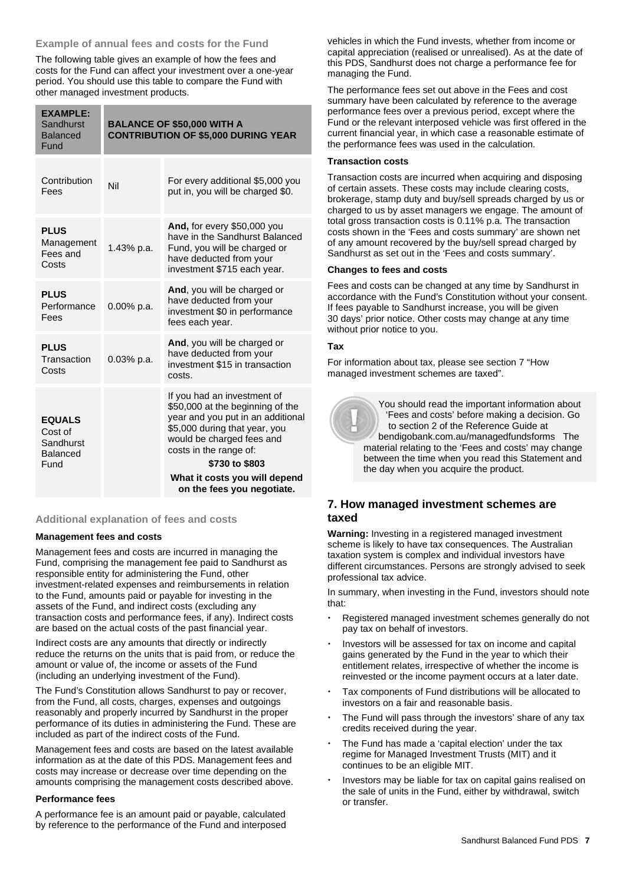## **Example of annual fees and costs for the Fund**

The following table gives an example of how the fees and costs for the Fund can affect your investment over a one-year period. You should use this table to compare the Fund with other managed investment products.

| <b>EXAMPLE:</b><br>Sandhurst<br><b>Balanced</b><br>Fund   | <b>BALANCE OF \$50,000 WITH A</b><br><b>CONTRIBUTION OF \$5,000 DURING YEAR</b> |                                                                                                                                                                                                                |
|-----------------------------------------------------------|---------------------------------------------------------------------------------|----------------------------------------------------------------------------------------------------------------------------------------------------------------------------------------------------------------|
| Contribution<br>Fees                                      | Nil                                                                             | For every additional \$5,000 you<br>put in, you will be charged \$0.                                                                                                                                           |
| <b>PLUS</b><br>Management<br>Fees and<br>Costs            | 1.43% p.a.                                                                      | And, for every \$50,000 you<br>have in the Sandhurst Balanced<br>Fund, you will be charged or<br>have deducted from your<br>investment \$715 each year.                                                        |
| <b>PLUS</b><br>Performance<br>Fees                        | 0.00% p.a.                                                                      | And, you will be charged or<br>have deducted from your<br>investment \$0 in performance<br>fees each year.                                                                                                     |
| <b>PLUS</b><br>Transaction<br>Costs                       | 0.03% p.a.                                                                      | And, you will be charged or<br>have deducted from your<br>investment \$15 in transaction<br>costs.                                                                                                             |
| <b>EQUALS</b><br>Cost of<br>Sandhurst<br>Balanced<br>Fund |                                                                                 | If you had an investment of<br>\$50,000 at the beginning of the<br>year and you put in an additional<br>\$5,000 during that year, you<br>would be charged fees and<br>costs in the range of:<br>\$730 to \$803 |
|                                                           |                                                                                 | What it costs you will depend<br>on the fees you negotiate.                                                                                                                                                    |

## **Additional explanation of fees and costs**

#### **Management fees and costs**

Management fees and costs are incurred in managing the Fund, comprising the management fee paid to Sandhurst as responsible entity for administering the Fund, other investment-related expenses and reimbursements in relation to the Fund, amounts paid or payable for investing in the assets of the Fund, and indirect costs (excluding any transaction costs and performance fees, if any). Indirect costs are based on the actual costs of the past financial year.

Indirect costs are any amounts that directly or indirectly reduce the returns on the units that is paid from, or reduce the amount or value of, the income or assets of the Fund (including an underlying investment of the Fund).

The Fund's Constitution allows Sandhurst to pay or recover, from the Fund, all costs, charges, expenses and outgoings reasonably and properly incurred by Sandhurst in the proper performance of its duties in administering the Fund. These are included as part of the indirect costs of the Fund.

Management fees and costs are based on the latest available information as at the date of this PDS. Management fees and costs may increase or decrease over time depending on the amounts comprising the management costs described above.

#### **Performance fees**

A performance fee is an amount paid or payable, calculated by reference to the performance of the Fund and interposed vehicles in which the Fund invests, whether from income or capital appreciation (realised or unrealised). As at the date of this PDS, Sandhurst does not charge a performance fee for managing the Fund.

The performance fees set out above in the Fees and cost summary have been calculated by reference to the average performance fees over a previous period, except where the Fund or the relevant interposed vehicle was first offered in the current financial year, in which case a reasonable estimate of the performance fees was used in the calculation.

## **Transaction costs**

Transaction costs are incurred when acquiring and disposing of certain assets. These costs may include clearing costs, brokerage, stamp duty and buy/sell spreads charged by us or charged to us by asset managers we engage. The amount of total gross transaction costs is 0.11% p.a. The transaction costs shown in the 'Fees and costs summary' are shown net of any amount recovered by the buy/sell spread charged by Sandhurst as set out in the 'Fees and costs summary'.

## **Changes to fees and costs**

Fees and costs can be changed at any time by Sandhurst in accordance with the Fund's Constitution without your consent. If fees payable to Sandhurst increase, you will be given 30 days' prior notice. Other costs may change at any time without prior notice to you.

## **Tax**

For information about tax, please see section 7 "How managed investment schemes are taxed".



 You should read the important information about 'Fees and costs' before making a decision. Go to section 2 of the Reference Guide at [bendigobank.com.au/managedfundsf](https://bendigobank.com.au/managedfundsforms)orms The material relating to the 'Fees and costs' may change between the time when you read this Statement and the day when you acquire the product.

## **7. How managed investment schemes are taxed**

**Warning:** Investing in a registered managed investment scheme is likely to have tax consequences. The Australian taxation system is complex and individual investors have different circumstances. Persons are strongly advised to seek professional tax advice.

In summary, when investing in the Fund, investors should note that:

- Registered managed investment schemes generally do not pay tax on behalf of investors.
- Investors will be assessed for tax on income and capital gains generated by the Fund in the year to which their entitlement relates, irrespective of whether the income is reinvested or the income payment occurs at a later date.
- Tax components of Fund distributions will be allocated to investors on a fair and reasonable basis.
- The Fund will pass through the investors' share of any tax credits received during the year.
- The Fund has made a 'capital election' under the tax regime for Managed Investment Trusts (MIT) and it continues to be an eligible MIT.
- Investors may be liable for tax on capital gains realised on the sale of units in the Fund, either by withdrawal, switch or transfer.